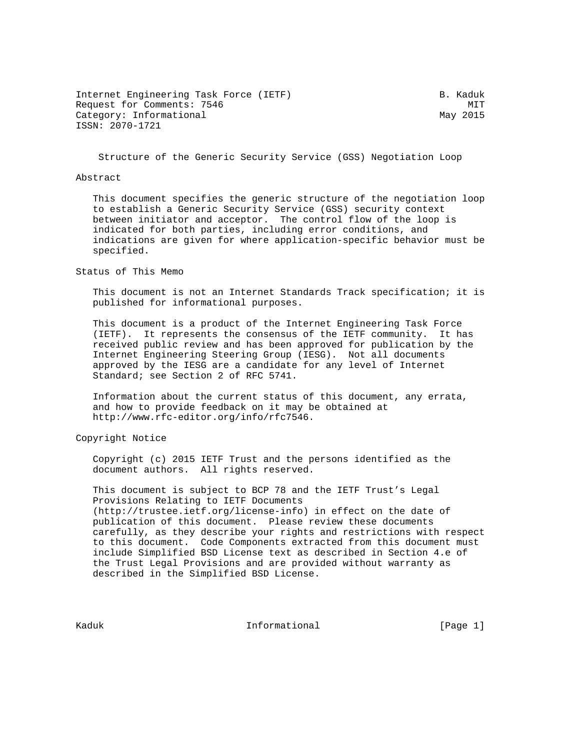Internet Engineering Task Force (IETF) B. Kaduk Request for Comments: 7546 MIT Category: Informational May 2015 ISSN: 2070-1721

Structure of the Generic Security Service (GSS) Negotiation Loop

#### Abstract

 This document specifies the generic structure of the negotiation loop to establish a Generic Security Service (GSS) security context between initiator and acceptor. The control flow of the loop is indicated for both parties, including error conditions, and indications are given for where application-specific behavior must be specified.

Status of This Memo

 This document is not an Internet Standards Track specification; it is published for informational purposes.

 This document is a product of the Internet Engineering Task Force (IETF). It represents the consensus of the IETF community. It has received public review and has been approved for publication by the Internet Engineering Steering Group (IESG). Not all documents approved by the IESG are a candidate for any level of Internet Standard; see Section 2 of RFC 5741.

 Information about the current status of this document, any errata, and how to provide feedback on it may be obtained at http://www.rfc-editor.org/info/rfc7546.

Copyright Notice

 Copyright (c) 2015 IETF Trust and the persons identified as the document authors. All rights reserved.

 This document is subject to BCP 78 and the IETF Trust's Legal Provisions Relating to IETF Documents (http://trustee.ietf.org/license-info) in effect on the date of publication of this document. Please review these documents carefully, as they describe your rights and restrictions with respect to this document. Code Components extracted from this document must include Simplified BSD License text as described in Section 4.e of the Trust Legal Provisions and are provided without warranty as described in the Simplified BSD License.

Kaduk **Informational Informational** [Page 1]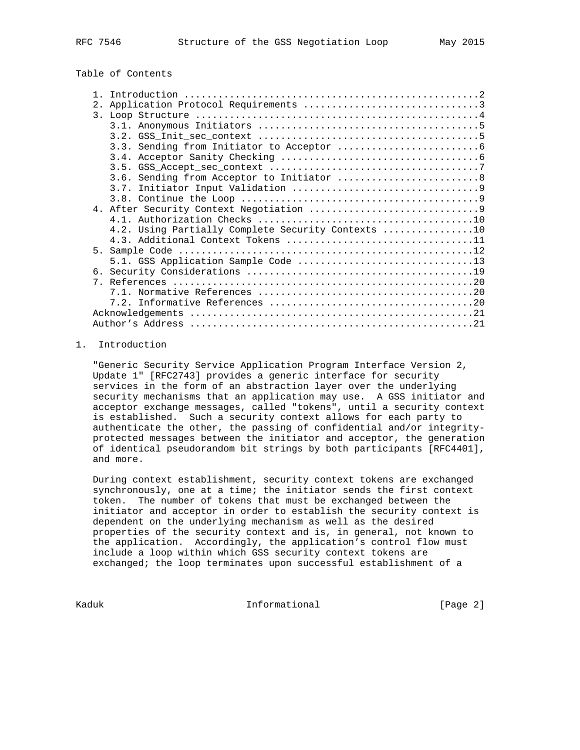# Table of Contents

| 2.               |                                                    |
|------------------|----------------------------------------------------|
| $\overline{3}$ . |                                                    |
|                  |                                                    |
|                  |                                                    |
|                  |                                                    |
|                  |                                                    |
|                  |                                                    |
|                  | 3.6. Sending from Acceptor to Initiator 8          |
|                  |                                                    |
|                  |                                                    |
|                  |                                                    |
|                  |                                                    |
|                  | 4.2. Using Partially Complete Security Contexts 10 |
|                  |                                                    |
| 5.               |                                                    |
|                  |                                                    |
|                  |                                                    |
|                  |                                                    |
|                  |                                                    |
|                  |                                                    |
|                  |                                                    |
|                  |                                                    |

## 1. Introduction

 "Generic Security Service Application Program Interface Version 2, Update 1" [RFC2743] provides a generic interface for security services in the form of an abstraction layer over the underlying security mechanisms that an application may use. A GSS initiator and acceptor exchange messages, called "tokens", until a security context is established. Such a security context allows for each party to authenticate the other, the passing of confidential and/or integrity protected messages between the initiator and acceptor, the generation of identical pseudorandom bit strings by both participants [RFC4401], and more.

 During context establishment, security context tokens are exchanged synchronously, one at a time; the initiator sends the first context token. The number of tokens that must be exchanged between the initiator and acceptor in order to establish the security context is dependent on the underlying mechanism as well as the desired properties of the security context and is, in general, not known to the application. Accordingly, the application's control flow must include a loop within which GSS security context tokens are exchanged; the loop terminates upon successful establishment of a

Kaduk **Informational Informational** [Page 2]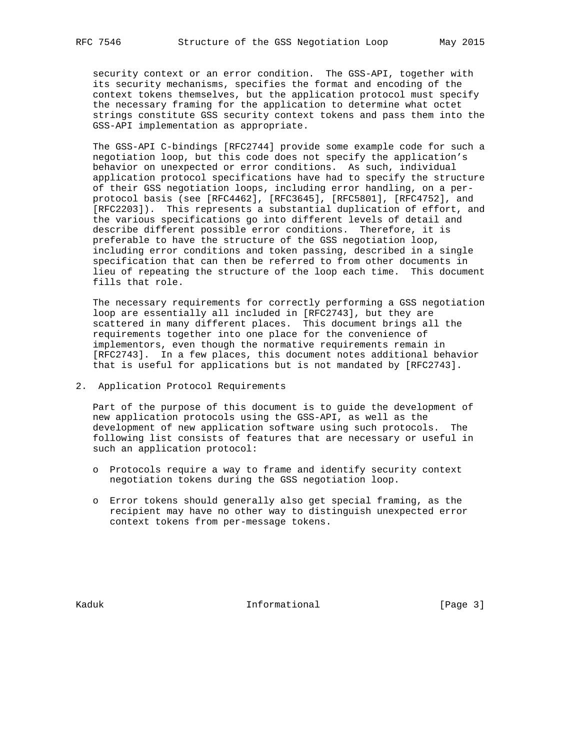security context or an error condition. The GSS-API, together with its security mechanisms, specifies the format and encoding of the context tokens themselves, but the application protocol must specify the necessary framing for the application to determine what octet strings constitute GSS security context tokens and pass them into the GSS-API implementation as appropriate.

 The GSS-API C-bindings [RFC2744] provide some example code for such a negotiation loop, but this code does not specify the application's behavior on unexpected or error conditions. As such, individual application protocol specifications have had to specify the structure of their GSS negotiation loops, including error handling, on a per protocol basis (see [RFC4462], [RFC3645], [RFC5801], [RFC4752], and [RFC2203]). This represents a substantial duplication of effort, and the various specifications go into different levels of detail and describe different possible error conditions. Therefore, it is preferable to have the structure of the GSS negotiation loop, including error conditions and token passing, described in a single specification that can then be referred to from other documents in lieu of repeating the structure of the loop each time. This document fills that role.

 The necessary requirements for correctly performing a GSS negotiation loop are essentially all included in [RFC2743], but they are scattered in many different places. This document brings all the requirements together into one place for the convenience of implementors, even though the normative requirements remain in [RFC2743]. In a few places, this document notes additional behavior that is useful for applications but is not mandated by [RFC2743].

2. Application Protocol Requirements

 Part of the purpose of this document is to guide the development of new application protocols using the GSS-API, as well as the development of new application software using such protocols. The following list consists of features that are necessary or useful in such an application protocol:

- o Protocols require a way to frame and identify security context negotiation tokens during the GSS negotiation loop.
- o Error tokens should generally also get special framing, as the recipient may have no other way to distinguish unexpected error context tokens from per-message tokens.

Kaduk **Informational Informational** [Page 3]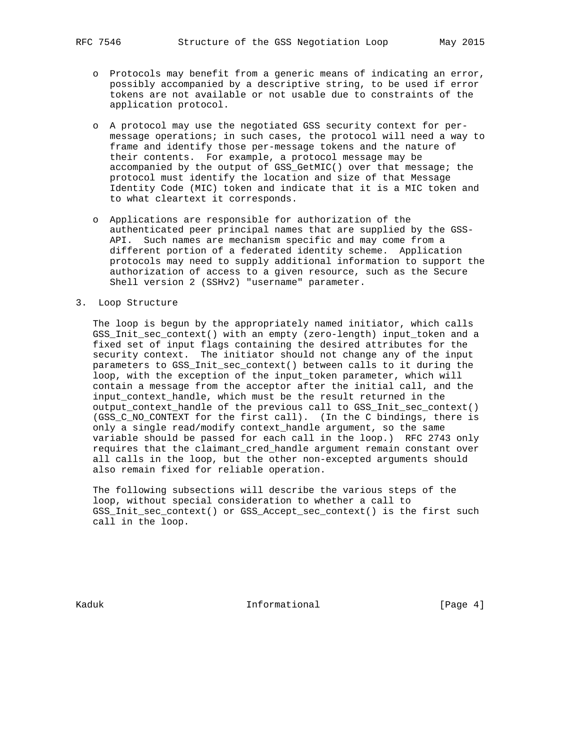- o Protocols may benefit from a generic means of indicating an error, possibly accompanied by a descriptive string, to be used if error tokens are not available or not usable due to constraints of the application protocol.
- o A protocol may use the negotiated GSS security context for per message operations; in such cases, the protocol will need a way to frame and identify those per-message tokens and the nature of their contents. For example, a protocol message may be accompanied by the output of GSS\_GetMIC() over that message; the protocol must identify the location and size of that Message Identity Code (MIC) token and indicate that it is a MIC token and to what cleartext it corresponds.
- o Applications are responsible for authorization of the authenticated peer principal names that are supplied by the GSS- API. Such names are mechanism specific and may come from a different portion of a federated identity scheme. Application protocols may need to supply additional information to support the authorization of access to a given resource, such as the Secure Shell version 2 (SSHv2) "username" parameter.
- 3. Loop Structure

 The loop is begun by the appropriately named initiator, which calls GSS\_Init\_sec\_context() with an empty (zero-length) input\_token and a fixed set of input flags containing the desired attributes for the security context. The initiator should not change any of the input parameters to GSS\_Init\_sec\_context() between calls to it during the loop, with the exception of the input\_token parameter, which will contain a message from the acceptor after the initial call, and the input\_context\_handle, which must be the result returned in the output\_context\_handle of the previous call to GSS\_Init\_sec\_context() (GSS\_C\_NO\_CONTEXT for the first call). (In the C bindings, there is only a single read/modify context\_handle argument, so the same variable should be passed for each call in the loop.) RFC 2743 only requires that the claimant\_cred\_handle argument remain constant over all calls in the loop, but the other non-excepted arguments should also remain fixed for reliable operation.

 The following subsections will describe the various steps of the loop, without special consideration to whether a call to GSS\_Init\_sec\_context() or GSS\_Accept\_sec\_context() is the first such call in the loop.

Kaduk **Informational Informational** [Page 4]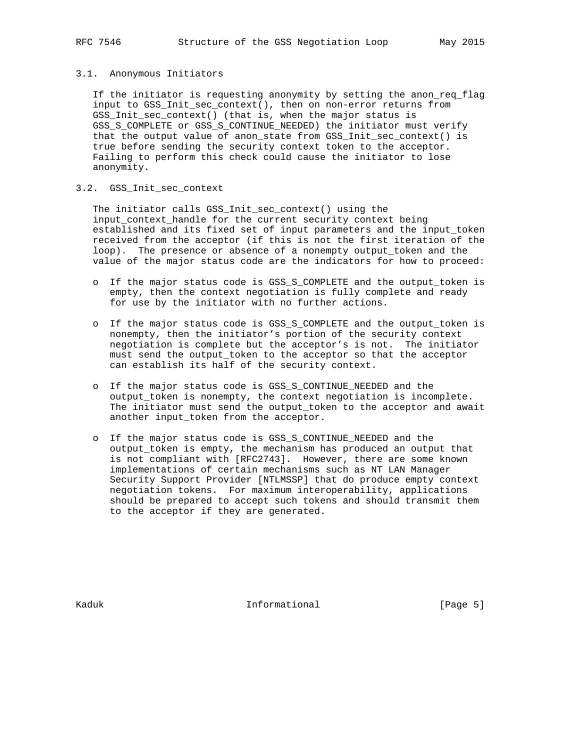### 3.1. Anonymous Initiators

 If the initiator is requesting anonymity by setting the anon\_req\_flag input to GSS\_Init\_sec\_context(), then on non-error returns from GSS\_Init\_sec\_context() (that is, when the major status is GSS\_S\_COMPLETE or GSS\_S\_CONTINUE\_NEEDED) the initiator must verify that the output value of anon\_state from GSS\_Init\_sec\_context() is true before sending the security context token to the acceptor. Failing to perform this check could cause the initiator to lose anonymity.

### 3.2. GSS\_Init\_sec\_context

 The initiator calls GSS\_Init\_sec\_context() using the input\_context\_handle for the current security context being established and its fixed set of input parameters and the input\_token received from the acceptor (if this is not the first iteration of the loop). The presence or absence of a nonempty output\_token and the value of the major status code are the indicators for how to proceed:

- o If the major status code is GSS\_S\_COMPLETE and the output\_token is empty, then the context negotiation is fully complete and ready for use by the initiator with no further actions.
- o If the major status code is GSS\_S\_COMPLETE and the output\_token is nonempty, then the initiator's portion of the security context negotiation is complete but the acceptor's is not. The initiator must send the output\_token to the acceptor so that the acceptor can establish its half of the security context.
- o If the major status code is GSS\_S\_CONTINUE\_NEEDED and the output\_token is nonempty, the context negotiation is incomplete. The initiator must send the output\_token to the acceptor and await another input\_token from the acceptor.
- o If the major status code is GSS\_S\_CONTINUE\_NEEDED and the output\_token is empty, the mechanism has produced an output that is not compliant with [RFC2743]. However, there are some known implementations of certain mechanisms such as NT LAN Manager Security Support Provider [NTLMSSP] that do produce empty context negotiation tokens. For maximum interoperability, applications should be prepared to accept such tokens and should transmit them to the acceptor if they are generated.

Kaduk **Informational Informational** [Page 5]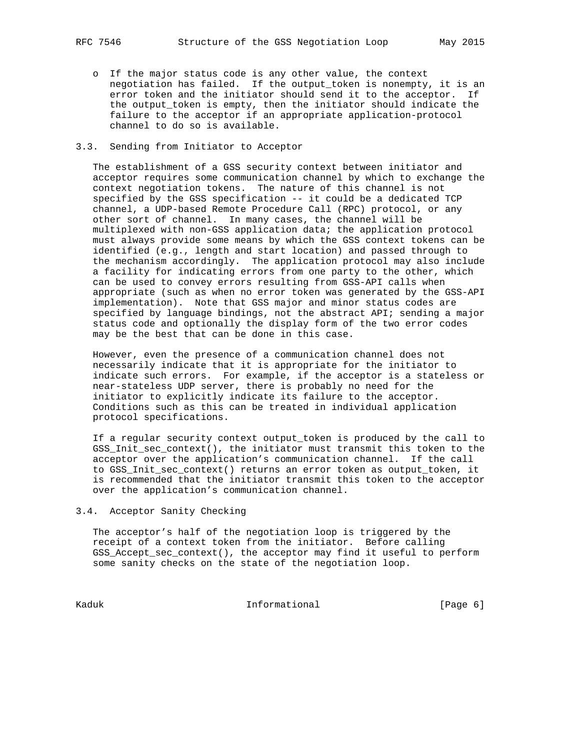o If the major status code is any other value, the context negotiation has failed. If the output\_token is nonempty, it is an error token and the initiator should send it to the acceptor. If the output\_token is empty, then the initiator should indicate the failure to the acceptor if an appropriate application-protocol channel to do so is available.

### 3.3. Sending from Initiator to Acceptor

 The establishment of a GSS security context between initiator and acceptor requires some communication channel by which to exchange the context negotiation tokens. The nature of this channel is not specified by the GSS specification -- it could be a dedicated TCP channel, a UDP-based Remote Procedure Call (RPC) protocol, or any other sort of channel. In many cases, the channel will be multiplexed with non-GSS application data; the application protocol must always provide some means by which the GSS context tokens can be identified (e.g., length and start location) and passed through to the mechanism accordingly. The application protocol may also include a facility for indicating errors from one party to the other, which can be used to convey errors resulting from GSS-API calls when appropriate (such as when no error token was generated by the GSS-API implementation). Note that GSS major and minor status codes are specified by language bindings, not the abstract API; sending a major status code and optionally the display form of the two error codes may be the best that can be done in this case.

 However, even the presence of a communication channel does not necessarily indicate that it is appropriate for the initiator to indicate such errors. For example, if the acceptor is a stateless or near-stateless UDP server, there is probably no need for the initiator to explicitly indicate its failure to the acceptor. Conditions such as this can be treated in individual application protocol specifications.

 If a regular security context output\_token is produced by the call to GSS\_Init\_sec\_context(), the initiator must transmit this token to the acceptor over the application's communication channel. If the call to GSS\_Init\_sec\_context() returns an error token as output\_token, it is recommended that the initiator transmit this token to the acceptor over the application's communication channel.

## 3.4. Acceptor Sanity Checking

 The acceptor's half of the negotiation loop is triggered by the receipt of a context token from the initiator. Before calling GSS\_Accept\_sec\_context(), the acceptor may find it useful to perform some sanity checks on the state of the negotiation loop.

Kaduk **Informational Informational** [Page 6]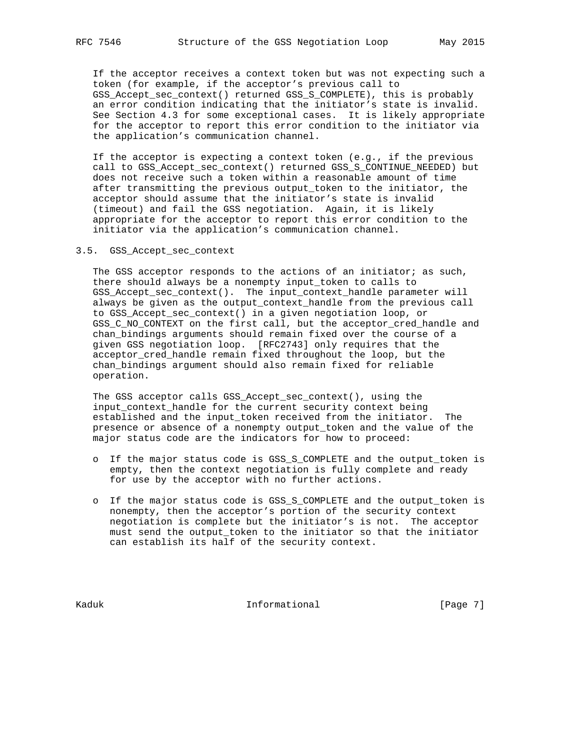If the acceptor receives a context token but was not expecting such a token (for example, if the acceptor's previous call to GSS\_Accept\_sec\_context() returned GSS\_S\_COMPLETE), this is probably an error condition indicating that the initiator's state is invalid. See Section 4.3 for some exceptional cases. It is likely appropriate for the acceptor to report this error condition to the initiator via the application's communication channel.

 If the acceptor is expecting a context token (e.g., if the previous call to GSS Accept sec\_context() returned GSS S CONTINUE NEEDED) but does not receive such a token within a reasonable amount of time after transmitting the previous output\_token to the initiator, the acceptor should assume that the initiator's state is invalid (timeout) and fail the GSS negotiation. Again, it is likely appropriate for the acceptor to report this error condition to the initiator via the application's communication channel.

### 3.5. GSS\_Accept\_sec\_context

The GSS acceptor responds to the actions of an initiator; as such, there should always be a nonempty input\_token to calls to GSS\_Accept\_sec\_context(). The input\_context\_handle parameter will always be given as the output\_context\_handle from the previous call to GSS\_Accept\_sec\_context() in a given negotiation loop, or GSS\_C\_NO\_CONTEXT on the first call, but the acceptor\_cred\_handle and chan\_bindings arguments should remain fixed over the course of a given GSS negotiation loop. [RFC2743] only requires that the acceptor\_cred\_handle remain fixed throughout the loop, but the chan\_bindings argument should also remain fixed for reliable operation.

 The GSS acceptor calls GSS\_Accept\_sec\_context(), using the input\_context\_handle for the current security context being established and the input\_token received from the initiator. The presence or absence of a nonempty output\_token and the value of the major status code are the indicators for how to proceed:

- o If the major status code is GSS\_S\_COMPLETE and the output\_token is empty, then the context negotiation is fully complete and ready for use by the acceptor with no further actions.
- o If the major status code is GSS\_S\_COMPLETE and the output\_token is nonempty, then the acceptor's portion of the security context negotiation is complete but the initiator's is not. The acceptor must send the output\_token to the initiator so that the initiator can establish its half of the security context.

Kaduk **Informational Informational** [Page 7]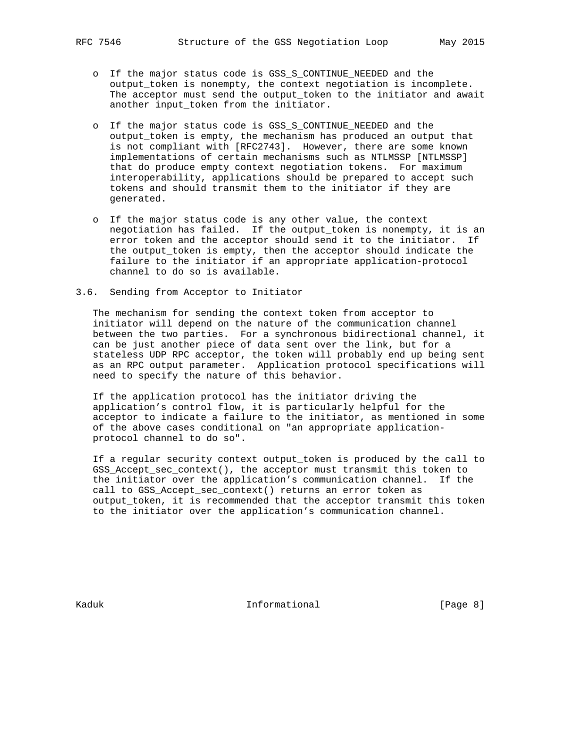- o If the major status code is GSS\_S\_CONTINUE\_NEEDED and the output\_token is nonempty, the context negotiation is incomplete. The acceptor must send the output\_token to the initiator and await another input\_token from the initiator.
- o If the major status code is GSS\_S\_CONTINUE\_NEEDED and the output\_token is empty, the mechanism has produced an output that is not compliant with [RFC2743]. However, there are some known implementations of certain mechanisms such as NTLMSSP [NTLMSSP] that do produce empty context negotiation tokens. For maximum interoperability, applications should be prepared to accept such tokens and should transmit them to the initiator if they are generated.
- o If the major status code is any other value, the context negotiation has failed. If the output\_token is nonempty, it is an error token and the acceptor should send it to the initiator. If the output\_token is empty, then the acceptor should indicate the failure to the initiator if an appropriate application-protocol channel to do so is available.
- 3.6. Sending from Acceptor to Initiator

 The mechanism for sending the context token from acceptor to initiator will depend on the nature of the communication channel between the two parties. For a synchronous bidirectional channel, it can be just another piece of data sent over the link, but for a stateless UDP RPC acceptor, the token will probably end up being sent as an RPC output parameter. Application protocol specifications will need to specify the nature of this behavior.

 If the application protocol has the initiator driving the application's control flow, it is particularly helpful for the acceptor to indicate a failure to the initiator, as mentioned in some of the above cases conditional on "an appropriate application protocol channel to do so".

 If a regular security context output\_token is produced by the call to GSS\_Accept\_sec\_context(), the acceptor must transmit this token to the initiator over the application's communication channel. If the call to GSS\_Accept\_sec\_context() returns an error token as output\_token, it is recommended that the acceptor transmit this token to the initiator over the application's communication channel.

Kaduk **Informational Informational** [Page 8]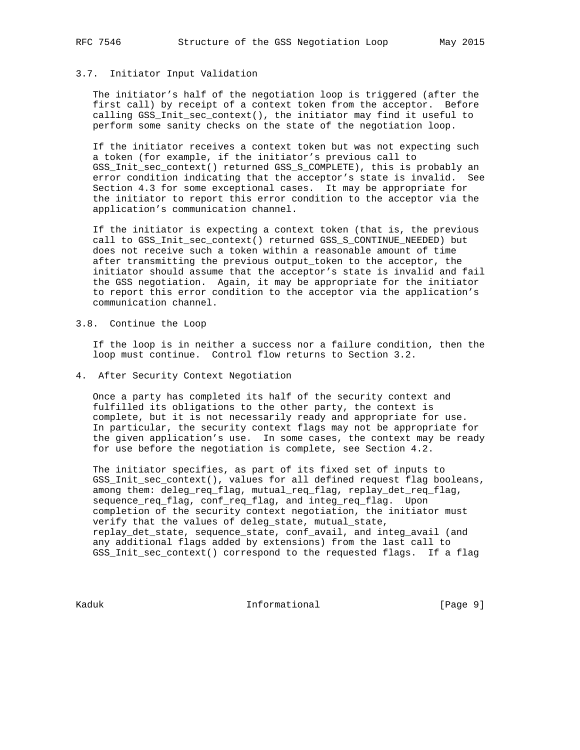### 3.7. Initiator Input Validation

 The initiator's half of the negotiation loop is triggered (after the first call) by receipt of a context token from the acceptor. Before calling GSS\_Init\_sec\_context(), the initiator may find it useful to perform some sanity checks on the state of the negotiation loop.

 If the initiator receives a context token but was not expecting such a token (for example, if the initiator's previous call to GSS\_Init\_sec\_context() returned GSS\_S\_COMPLETE), this is probably an error condition indicating that the acceptor's state is invalid. See Section 4.3 for some exceptional cases. It may be appropriate for the initiator to report this error condition to the acceptor via the application's communication channel.

 If the initiator is expecting a context token (that is, the previous call to GSS\_Init\_sec\_context() returned GSS\_S\_CONTINUE\_NEEDED) but does not receive such a token within a reasonable amount of time after transmitting the previous output\_token to the acceptor, the initiator should assume that the acceptor's state is invalid and fail the GSS negotiation. Again, it may be appropriate for the initiator to report this error condition to the acceptor via the application's communication channel.

3.8. Continue the Loop

 If the loop is in neither a success nor a failure condition, then the loop must continue. Control flow returns to Section 3.2.

4. After Security Context Negotiation

 Once a party has completed its half of the security context and fulfilled its obligations to the other party, the context is complete, but it is not necessarily ready and appropriate for use. In particular, the security context flags may not be appropriate for the given application's use. In some cases, the context may be ready for use before the negotiation is complete, see Section 4.2.

 The initiator specifies, as part of its fixed set of inputs to GSS\_Init\_sec\_context(), values for all defined request flag booleans, among them: deleg\_req\_flag, mutual\_req\_flag, replay\_det\_req\_flag, sequence\_req\_flag, conf\_req\_flag, and integ\_req\_flag. Upon completion of the security context negotiation, the initiator must verify that the values of deleg\_state, mutual\_state, replay\_det\_state, sequence\_state, conf\_avail, and integ\_avail (and any additional flags added by extensions) from the last call to GSS\_Init\_sec\_context() correspond to the requested flags. If a flag

Kaduk **Informational** [Page 9]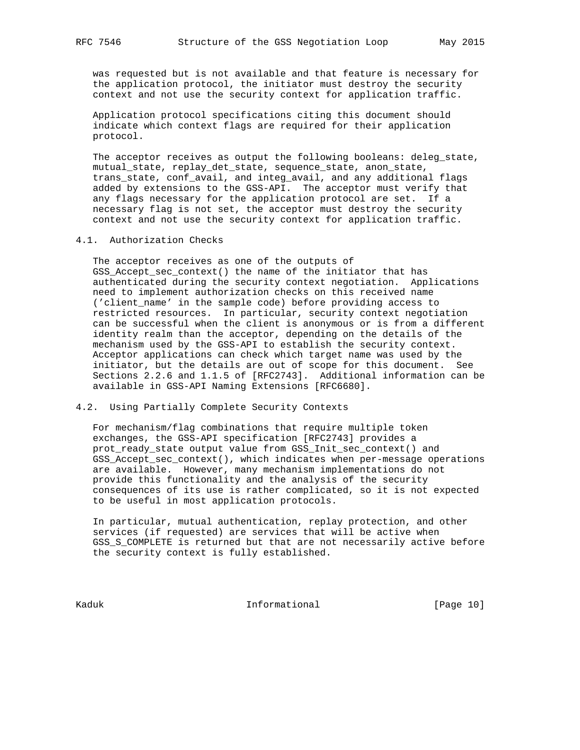was requested but is not available and that feature is necessary for the application protocol, the initiator must destroy the security context and not use the security context for application traffic.

 Application protocol specifications citing this document should indicate which context flags are required for their application protocol.

 The acceptor receives as output the following booleans: deleg\_state, mutual\_state, replay\_det\_state, sequence\_state, anon\_state, trans\_state, conf\_avail, and integ\_avail, and any additional flags added by extensions to the GSS-API. The acceptor must verify that any flags necessary for the application protocol are set. If a necessary flag is not set, the acceptor must destroy the security context and not use the security context for application traffic.

4.1. Authorization Checks

 The acceptor receives as one of the outputs of GSS\_Accept\_sec\_context() the name of the initiator that has authenticated during the security context negotiation. Applications need to implement authorization checks on this received name ('client\_name' in the sample code) before providing access to restricted resources. In particular, security context negotiation can be successful when the client is anonymous or is from a different identity realm than the acceptor, depending on the details of the mechanism used by the GSS-API to establish the security context. Acceptor applications can check which target name was used by the initiator, but the details are out of scope for this document. See Sections 2.2.6 and 1.1.5 of [RFC2743]. Additional information can be available in GSS-API Naming Extensions [RFC6680].

#### 4.2. Using Partially Complete Security Contexts

 For mechanism/flag combinations that require multiple token exchanges, the GSS-API specification [RFC2743] provides a prot\_ready\_state output value from GSS\_Init\_sec\_context() and GSS\_Accept\_sec\_context(), which indicates when per-message operations are available. However, many mechanism implementations do not provide this functionality and the analysis of the security consequences of its use is rather complicated, so it is not expected to be useful in most application protocols.

 In particular, mutual authentication, replay protection, and other services (if requested) are services that will be active when GSS\_S\_COMPLETE is returned but that are not necessarily active before the security context is fully established.

Kaduk **Informational** [Page 10]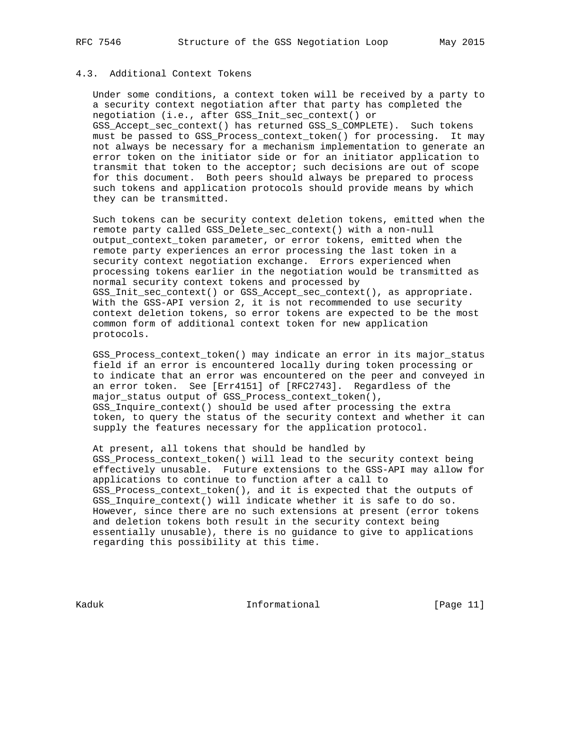## 4.3. Additional Context Tokens

 Under some conditions, a context token will be received by a party to a security context negotiation after that party has completed the negotiation (i.e., after GSS\_Init\_sec\_context() or GSS\_Accept\_sec\_context() has returned GSS\_S\_COMPLETE). Such tokens must be passed to GSS\_Process\_context\_token() for processing. It may not always be necessary for a mechanism implementation to generate an error token on the initiator side or for an initiator application to transmit that token to the acceptor; such decisions are out of scope for this document. Both peers should always be prepared to process such tokens and application protocols should provide means by which they can be transmitted.

 Such tokens can be security context deletion tokens, emitted when the remote party called GSS\_Delete\_sec\_context() with a non-null output\_context\_token parameter, or error tokens, emitted when the remote party experiences an error processing the last token in a security context negotiation exchange. Errors experienced when processing tokens earlier in the negotiation would be transmitted as normal security context tokens and processed by GSS\_Init\_sec\_context() or GSS\_Accept\_sec\_context(), as appropriate. With the GSS-API version 2, it is not recommended to use security context deletion tokens, so error tokens are expected to be the most common form of additional context token for new application protocols.

 GSS\_Process\_context\_token() may indicate an error in its major\_status field if an error is encountered locally during token processing or to indicate that an error was encountered on the peer and conveyed in an error token. See [Err4151] of [RFC2743]. Regardless of the major\_status output of GSS\_Process\_context\_token(), GSS\_Inquire\_context() should be used after processing the extra token, to query the status of the security context and whether it can supply the features necessary for the application protocol.

 At present, all tokens that should be handled by GSS\_Process\_context\_token() will lead to the security context being effectively unusable. Future extensions to the GSS-API may allow for applications to continue to function after a call to GSS\_Process\_context\_token(), and it is expected that the outputs of GSS\_Inquire\_context() will indicate whether it is safe to do so. However, since there are no such extensions at present (error tokens and deletion tokens both result in the security context being essentially unusable), there is no guidance to give to applications regarding this possibility at this time.

Kaduk **Informational** [Page 11]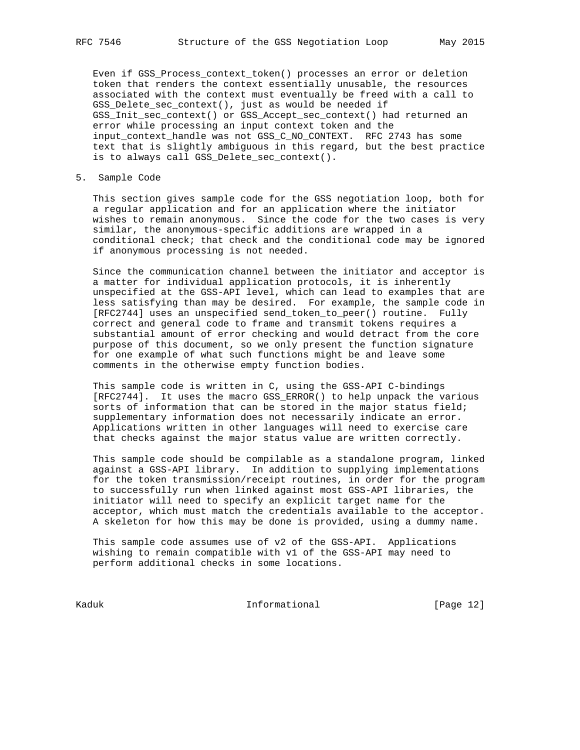Even if GSS\_Process\_context\_token() processes an error or deletion token that renders the context essentially unusable, the resources associated with the context must eventually be freed with a call to GSS\_Delete\_sec\_context(), just as would be needed if GSS\_Init\_sec\_context() or GSS\_Accept\_sec\_context() had returned an error while processing an input context token and the input\_context\_handle was not GSS\_C\_NO\_CONTEXT. RFC 2743 has some text that is slightly ambiguous in this regard, but the best practice is to always call GSS\_Delete\_sec\_context().

5. Sample Code

 This section gives sample code for the GSS negotiation loop, both for a regular application and for an application where the initiator wishes to remain anonymous. Since the code for the two cases is very similar, the anonymous-specific additions are wrapped in a conditional check; that check and the conditional code may be ignored if anonymous processing is not needed.

 Since the communication channel between the initiator and acceptor is a matter for individual application protocols, it is inherently unspecified at the GSS-API level, which can lead to examples that are less satisfying than may be desired. For example, the sample code in [RFC2744] uses an unspecified send\_token\_to\_peer() routine. Fully correct and general code to frame and transmit tokens requires a substantial amount of error checking and would detract from the core purpose of this document, so we only present the function signature for one example of what such functions might be and leave some comments in the otherwise empty function bodies.

 This sample code is written in C, using the GSS-API C-bindings [RFC2744]. It uses the macro GSS\_ERROR() to help unpack the various sorts of information that can be stored in the major status field; supplementary information does not necessarily indicate an error. Applications written in other languages will need to exercise care that checks against the major status value are written correctly.

 This sample code should be compilable as a standalone program, linked against a GSS-API library. In addition to supplying implementations for the token transmission/receipt routines, in order for the program to successfully run when linked against most GSS-API libraries, the initiator will need to specify an explicit target name for the acceptor, which must match the credentials available to the acceptor. A skeleton for how this may be done is provided, using a dummy name.

 This sample code assumes use of v2 of the GSS-API. Applications wishing to remain compatible with v1 of the GSS-API may need to perform additional checks in some locations.

Kaduk **Informational** [Page 12]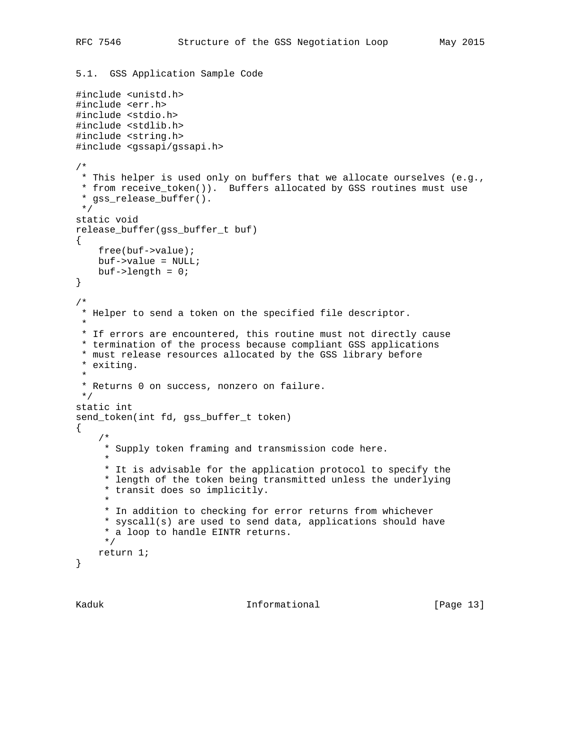```
5.1. GSS Application Sample Code
#include <unistd.h>
#include <err.h>
#include <stdio.h>
#include <stdlib.h>
#include <string.h>
#include <gssapi/gssapi.h>
/*
  * This helper is used only on buffers that we allocate ourselves (e.g.,
  * from receive_token()). Buffers allocated by GSS routines must use
  * gss_release_buffer().
  */
static void
release_buffer(gss_buffer_t buf)
{
    free(buf->value);
    buf->value = NULL;
   buf->length = 0;}
/*
 * Helper to send a token on the specified file descriptor.
 *
 * If errors are encountered, this routine must not directly cause
  * termination of the process because compliant GSS applications
  * must release resources allocated by the GSS library before
  * exiting.
 *
  * Returns 0 on success, nonzero on failure.
  */
static int
send_token(int fd, gss_buffer_t token)
{
     /*
     * Supply token framing and transmission code here.
 *
      * It is advisable for the application protocol to specify the
      * length of the token being transmitted unless the underlying
      * transit does so implicitly.
 *
      * In addition to checking for error returns from whichever
      * syscall(s) are used to send data, applications should have
      * a loop to handle EINTR returns.
      */
     return 1;
}
```
Kaduk **Informational** [Page 13]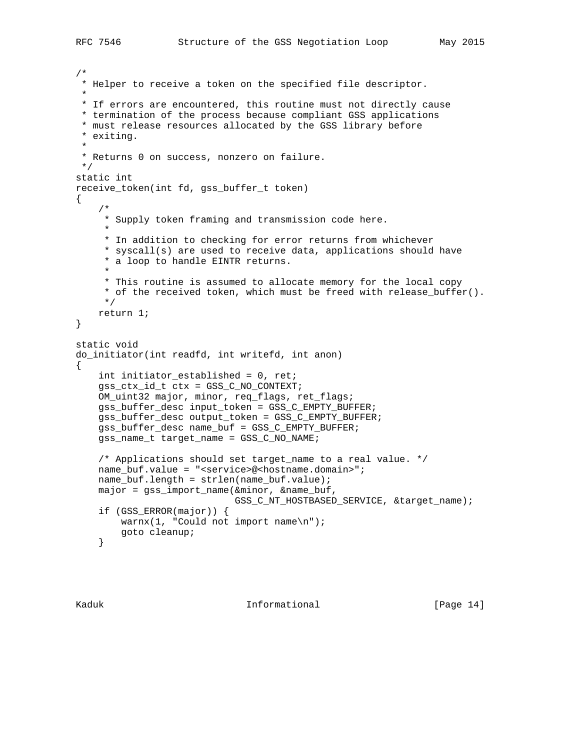```
/*
 * Helper to receive a token on the specified file descriptor.
 *
 * If errors are encountered, this routine must not directly cause
  * termination of the process because compliant GSS applications
  * must release resources allocated by the GSS library before
  * exiting.
 *
  * Returns 0 on success, nonzero on failure.
  */
static int
receive_token(int fd, gss_buffer_t token)
{
     /*
      * Supply token framing and transmission code here.
 *
      * In addition to checking for error returns from whichever
      * syscall(s) are used to receive data, applications should have
      * a loop to handle EINTR returns.
 *
      * This routine is assumed to allocate memory for the local copy
      * of the received token, which must be freed with release_buffer().
      */
     return 1;
}
static void
do_initiator(int readfd, int writefd, int anon)
{
     int initiator_established = 0, ret;
     gss_ctx_id_t ctx = GSS_C_NO_CONTEXT;
     OM_uint32 major, minor, req_flags, ret_flags;
     gss_buffer_desc input_token = GSS_C_EMPTY_BUFFER;
    gss buffer desc output token = GSS C EMPTY BUFFER;
     gss_buffer_desc name_buf = GSS_C_EMPTY_BUFFER;
     gss_name_t target_name = GSS_C_NO_NAME;
     /* Applications should set target_name to a real value. */
    name_buf.value = "<service>@<hostname.domain>";
    name buf.length = strlen(name buf.value);
     major = gss_import_name(&minor, &name_buf,
                             GSS_C_NT_HOSTBASED_SERVICE, &target_name);
     if (GSS_ERROR(major)) {
        warnx(1, "Could not import name\n\times goto cleanup;
     }
```
Kaduk **Informational** [Page 14]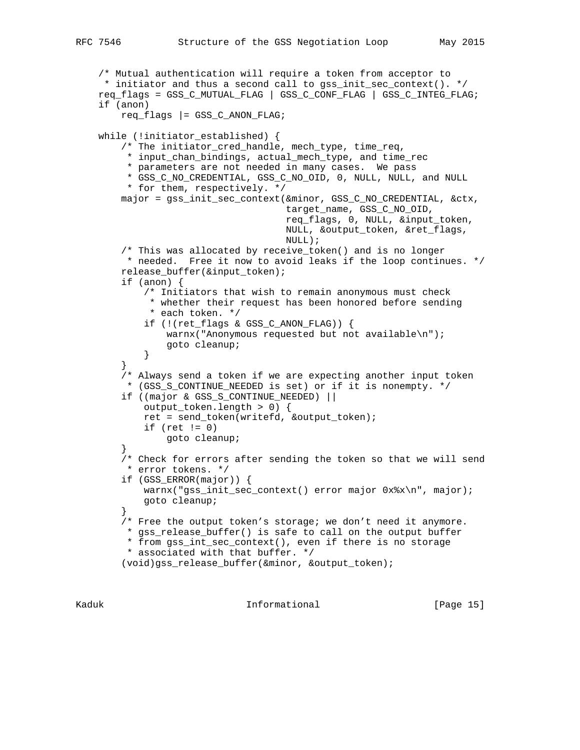```
 /* Mutual authentication will require a token from acceptor to
     * initiator and thus a second call to gss_init_sec_context(). */
    req_flags = GSS_C_MUTUAL_FLAG | GSS_C_CONF_FLAG | GSS_C_INTEG_FLAG;
     if (anon)
        req_flags |= GSS_C_ANON_FLAG;
    while (!initiator_established) {
         /* The initiator_cred_handle, mech_type, time_req,
          * input_chan_bindings, actual_mech_type, and time_rec
         * parameters are not needed in many cases. We pass
          * GSS_C_NO_CREDENTIAL, GSS_C_NO_OID, 0, NULL, NULL, and NULL
         * for them, respectively. */
        major = gss_init_sec_context(&minor, GSS_C_NO_CREDENTIAL, &ctx,
                                      target_name, GSS_C_NO_OID,
                                      req_flags, 0, NULL, &input_token,
                                      NULL, &output_token, &ret_flags,
                                      NULL);
         /* This was allocated by receive_token() and is no longer
         * needed. Free it now to avoid leaks if the loop continues. */
        release_buffer(&input_token);
         if (anon) {
            /* Initiators that wish to remain anonymous must check
              * whether their request has been honored before sending
              * each token. */
             if (!(ret_flags & GSS_C_ANON_FLAG)) {
                 warnx("Anonymous requested but not available\n");
                 goto cleanup;
 }
 }
         /* Always send a token if we are expecting another input token
          * (GSS_S_CONTINUE_NEEDED is set) or if it is nonempty. */
         if ((major & GSS_S_CONTINUE_NEEDED) ||
            output_token.length > 0) {
            ret = send_token(writefd, &output_token);
           if (\text{ret} != 0) goto cleanup;
         }
         /* Check for errors after sending the token so that we will send
         * error tokens. */
         if (GSS_ERROR(major)) {
            warnx("gss_init_sec_context() error major 0x%x\n", major);
            goto cleanup;
 }
         /* Free the output token's storage; we don't need it anymore.
         * gss_release_buffer() is safe to call on the output buffer
         * from gss_int_sec_context(), even if there is no storage
         * associated with that buffer. */
         (void)gss_release_buffer(&minor, &output_token);
```
Kaduk **Informational** [Page 15]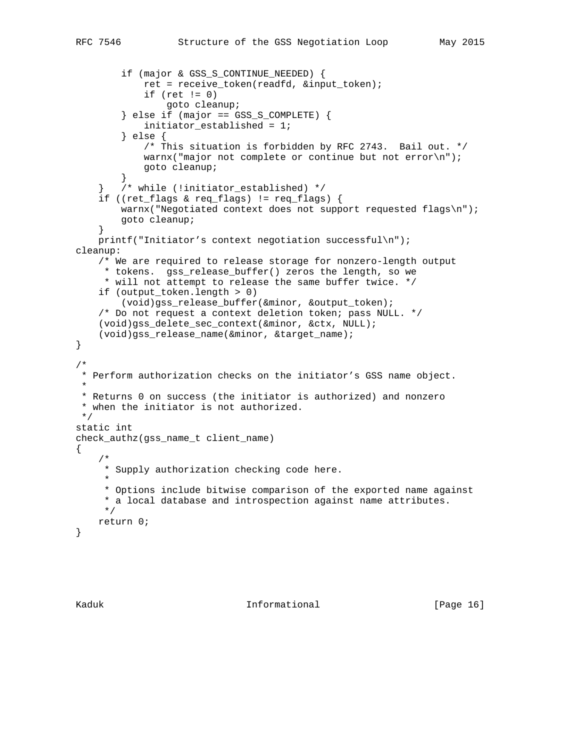```
 if (major & GSS_S_CONTINUE_NEEDED) {
             ret = receive_token(readfd, &input_token);
            if (ret != 0)
                 goto cleanup;
         } else if (major == GSS_S_COMPLETE) {
             initiator_established = 1;
         } else {
             /* This situation is forbidden by RFC 2743. Bail out. */
            warnx("major not complete or continue but not error\langle n" \rangle;
             goto cleanup;
         }
     } /* while (!initiator_established) */
     if ((ret_flags & req_flags) != req_flags) {
         warnx("Negotiated context does not support requested flags\n");
         goto cleanup;
     }
     printf("Initiator's context negotiation successful\n");
cleanup:
     /* We are required to release storage for nonzero-length output
      * tokens. gss_release_buffer() zeros the length, so we
      * will not attempt to release the same buffer twice. */
     if (output_token.length > 0)
         (void)gss_release_buffer(&minor, &output_token);
     /* Do not request a context deletion token; pass NULL. */
     (void)gss_delete_sec_context(&minor, &ctx, NULL);
     (void)gss_release_name(&minor, &target_name);
}
/*
  * Perform authorization checks on the initiator's GSS name object.
 *
 * Returns 0 on success (the initiator is authorized) and nonzero
  * when the initiator is not authorized.
  */
static int
check_authz(gss_name_t client_name)
{
     /*
     * Supply authorization checking code here.
 *
      * Options include bitwise comparison of the exported name against
      * a local database and introspection against name attributes.
      */
    return 0;
}
```
Kaduk **Informational** [Page 16]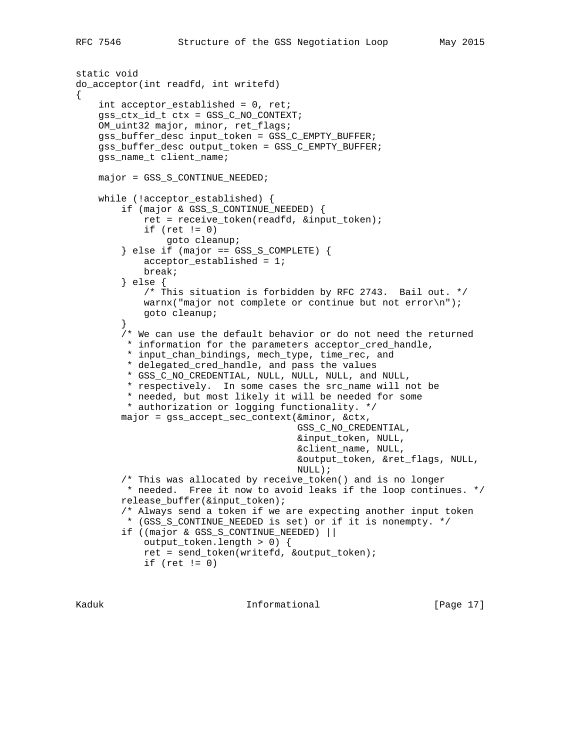```
static void
do_acceptor(int readfd, int writefd)
{
     int acceptor_established = 0, ret;
     gss_ctx_id_t ctx = GSS_C_NO_CONTEXT;
     OM_uint32 major, minor, ret_flags;
     gss_buffer_desc input_token = GSS_C_EMPTY_BUFFER;
     gss_buffer_desc output_token = GSS_C_EMPTY_BUFFER;
     gss_name_t client_name;
     major = GSS_S_CONTINUE_NEEDED;
     while (!acceptor_established) {
         if (major & GSS_S_CONTINUE_NEEDED) {
             ret = receive_token(readfd, &input_token);
            if (ret != 0) goto cleanup;
         } else if (major == GSS_S_COMPLETE) {
             acceptor_established = 1;
             break;
         } else {
             /* This situation is forbidden by RFC 2743. Bail out. */
            warnx("major not complete or continue but not error\n^n);
             goto cleanup;
 }
         /* We can use the default behavior or do not need the returned
          * information for the parameters acceptor_cred_handle,
          * input_chan_bindings, mech_type, time_rec, and
          * delegated_cred_handle, and pass the values
          * GSS_C_NO_CREDENTIAL, NULL, NULL, NULL, and NULL,
          * respectively. In some cases the src_name will not be
          * needed, but most likely it will be needed for some
          * authorization or logging functionality. */
         major = gss_accept_sec_context(&minor, &ctx,
                                         GSS_C_NO_CREDENTIAL,
                                         &input_token, NULL,
                                         &client_name, NULL,
                                         &output_token, &ret_flags, NULL,
                                         NULL);
         /* This was allocated by receive_token() and is no longer
          * needed. Free it now to avoid leaks if the loop continues. */
         release_buffer(&input_token);
         /* Always send a token if we are expecting another input token
          * (GSS_S_CONTINUE_NEEDED is set) or if it is nonempty. */
         if ((major & GSS_S_CONTINUE_NEEDED) ||
             output_token.length > 0) {
             ret = send_token(writefd, &output_token);
            if (\text{ret } != 0)
```
Kaduk **Informational** [Page 17]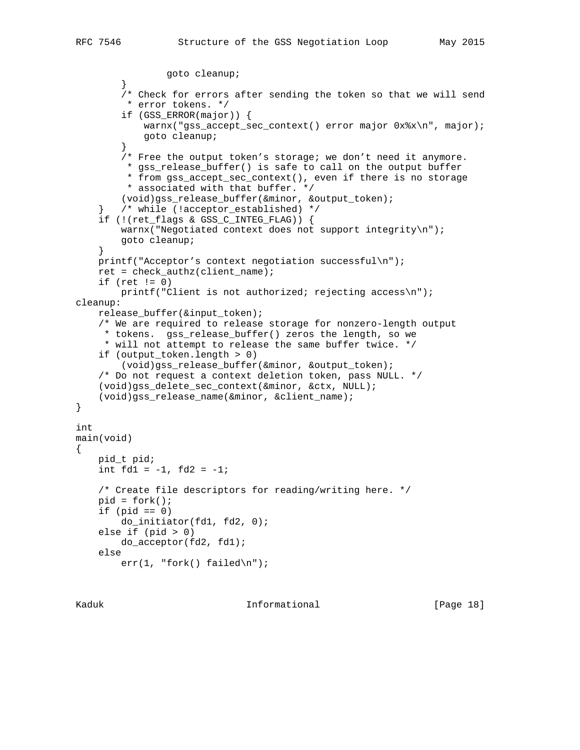```
 goto cleanup;
 }
         /* Check for errors after sending the token so that we will send
         * error tokens. */
         if (GSS_ERROR(major)) {
             warnx("gss_accept_sec_context() error major 0x%x\n", major);
             goto cleanup;
 }
         /* Free the output token's storage; we don't need it anymore.
          * gss_release_buffer() is safe to call on the output buffer
          * from gss_accept_sec_context(), even if there is no storage
          * associated with that buffer. */
         (void)gss_release_buffer(&minor, &output_token);
        /* while (!acceptor_established) */
     if (!(ret_flags & GSS_C_INTEG_FLAG)) {
         warnx("Negotiated context does not support integrity\n");
         goto cleanup;
     }
     printf("Acceptor's context negotiation successful\n");
     ret = check_authz(client_name);
    if (ret != 0)printf("Client is not authorized; rejecting access\n");
cleanup:
     release_buffer(&input_token);
     /* We are required to release storage for nonzero-length output
      * tokens. gss_release_buffer() zeros the length, so we
      * will not attempt to release the same buffer twice. */
     if (output_token.length > 0)
         (void)gss_release_buffer(&minor, &output_token);
     /* Do not request a context deletion token, pass NULL. */
     (void)gss_delete_sec_context(&minor, &ctx, NULL);
     (void)gss_release_name(&minor, &client_name);
}
int
main(void)
{
    pid_t pid;
    int fd1 = -1, fd2 = -1;
     /* Create file descriptors for reading/writing here. */
    pid = fork();
    if (pid == 0) do_initiator(fd1, fd2, 0);
     else if (pid > 0)
         do_acceptor(fd2, fd1);
     else
        err(1, "fork() failed\n'
```
Kaduk **Informational** [Page 18]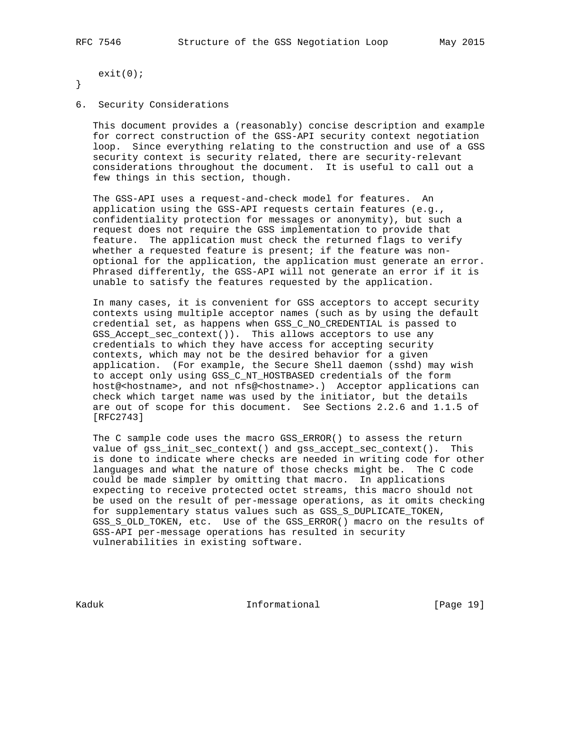}

```
 exit(0);
```
6. Security Considerations

 This document provides a (reasonably) concise description and example for correct construction of the GSS-API security context negotiation loop. Since everything relating to the construction and use of a GSS security context is security related, there are security-relevant considerations throughout the document. It is useful to call out a few things in this section, though.

 The GSS-API uses a request-and-check model for features. An application using the GSS-API requests certain features (e.g., confidentiality protection for messages or anonymity), but such a request does not require the GSS implementation to provide that feature. The application must check the returned flags to verify whether a requested feature is present; if the feature was non optional for the application, the application must generate an error. Phrased differently, the GSS-API will not generate an error if it is unable to satisfy the features requested by the application.

 In many cases, it is convenient for GSS acceptors to accept security contexts using multiple acceptor names (such as by using the default credential set, as happens when GSS\_C\_NO\_CREDENTIAL is passed to GSS\_Accept\_sec\_context()). This allows acceptors to use any credentials to which they have access for accepting security contexts, which may not be the desired behavior for a given application. (For example, the Secure Shell daemon (sshd) may wish to accept only using GSS\_C\_NT\_HOSTBASED credentials of the form host@<hostname>, and not nfs@<hostname>.) Acceptor applications can check which target name was used by the initiator, but the details are out of scope for this document. See Sections 2.2.6 and 1.1.5 of [RFC2743]

 The C sample code uses the macro GSS\_ERROR() to assess the return value of gss\_init\_sec\_context() and gss\_accept\_sec\_context(). This is done to indicate where checks are needed in writing code for other languages and what the nature of those checks might be. The C code could be made simpler by omitting that macro. In applications expecting to receive protected octet streams, this macro should not be used on the result of per-message operations, as it omits checking for supplementary status values such as GSS\_S\_DUPLICATE\_TOKEN, GSS\_S\_OLD\_TOKEN, etc. Use of the GSS\_ERROR() macro on the results of GSS-API per-message operations has resulted in security vulnerabilities in existing software.

Kaduk **Informational** [Page 19]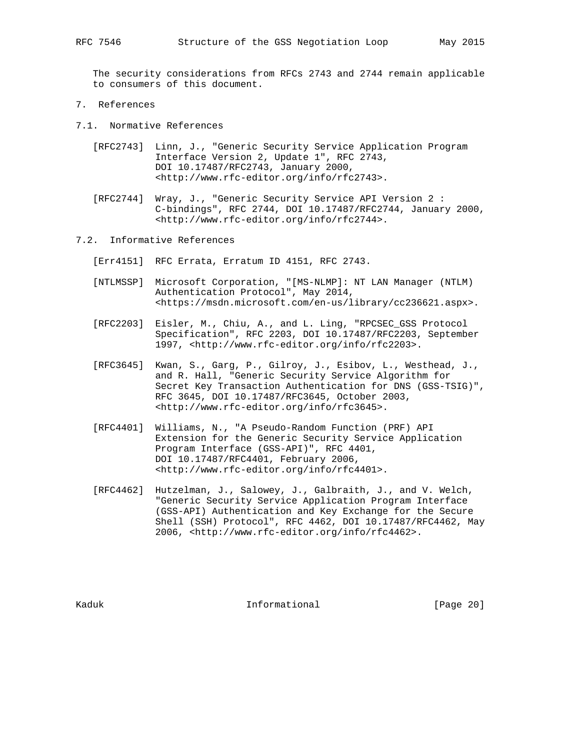The security considerations from RFCs 2743 and 2744 remain applicable to consumers of this document.

- 7. References
- 7.1. Normative References
	- [RFC2743] Linn, J., "Generic Security Service Application Program Interface Version 2, Update 1", RFC 2743, DOI 10.17487/RFC2743, January 2000, <http://www.rfc-editor.org/info/rfc2743>.
	- [RFC2744] Wray, J., "Generic Security Service API Version 2 : C-bindings", RFC 2744, DOI 10.17487/RFC2744, January 2000, <http://www.rfc-editor.org/info/rfc2744>.
- 7.2. Informative References
	- [Err4151] RFC Errata, Erratum ID 4151, RFC 2743.
	- [NTLMSSP] Microsoft Corporation, "[MS-NLMP]: NT LAN Manager (NTLM) Authentication Protocol", May 2014, <https://msdn.microsoft.com/en-us/library/cc236621.aspx>.
	- [RFC2203] Eisler, M., Chiu, A., and L. Ling, "RPCSEC\_GSS Protocol Specification", RFC 2203, DOI 10.17487/RFC2203, September 1997, <http://www.rfc-editor.org/info/rfc2203>.
	- [RFC3645] Kwan, S., Garg, P., Gilroy, J., Esibov, L., Westhead, J., and R. Hall, "Generic Security Service Algorithm for Secret Key Transaction Authentication for DNS (GSS-TSIG)", RFC 3645, DOI 10.17487/RFC3645, October 2003, <http://www.rfc-editor.org/info/rfc3645>.
	- [RFC4401] Williams, N., "A Pseudo-Random Function (PRF) API Extension for the Generic Security Service Application Program Interface (GSS-API)", RFC 4401, DOI 10.17487/RFC4401, February 2006, <http://www.rfc-editor.org/info/rfc4401>.
	- [RFC4462] Hutzelman, J., Salowey, J., Galbraith, J., and V. Welch, "Generic Security Service Application Program Interface (GSS-API) Authentication and Key Exchange for the Secure Shell (SSH) Protocol", RFC 4462, DOI 10.17487/RFC4462, May 2006, <http://www.rfc-editor.org/info/rfc4462>.

Kaduk **Informational** [Page 20]